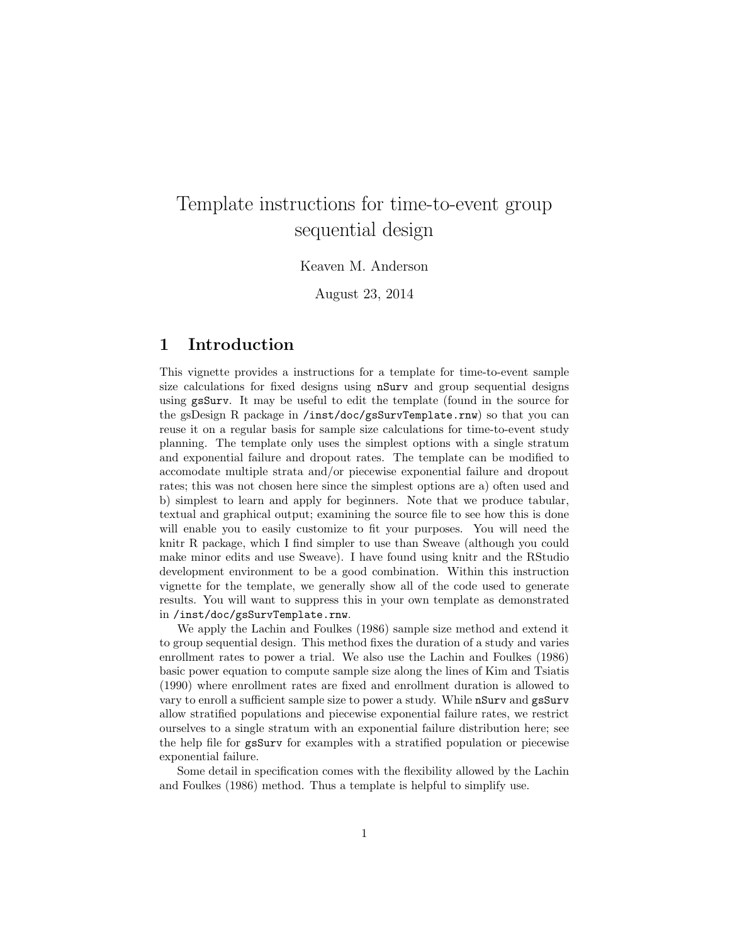# Template instructions for time-to-event group sequential design

Keaven M. Anderson

August 23, 2014

### 1 Introduction

This vignette provides a instructions for a template for time-to-event sample size calculations for fixed designs using nSurv and group sequential designs using gsSurv. It may be useful to edit the template (found in the source for the gsDesign R package in  $/$ inst $/$ doc $/g$ sSurvTemplate.rnw) so that you can reuse it on a regular basis for sample size calculations for time-to-event study planning. The template only uses the simplest options with a single stratum and exponential failure and dropout rates. The template can be modified to accomodate multiple strata and/or piecewise exponential failure and dropout rates; this was not chosen here since the simplest options are a) often used and b) simplest to learn and apply for beginners. Note that we produce tabular, textual and graphical output; examining the source file to see how this is done will enable you to easily customize to fit your purposes. You will need the knitr R package, which I find simpler to use than Sweave (although you could make minor edits and use Sweave). I have found using knitr and the RStudio development environment to be a good combination. Within this instruction vignette for the template, we generally show all of the code used to generate results. You will want to suppress this in your own template as demonstrated in /inst/doc/gsSurvTemplate.rnw.

We apply the Lachin and Foulkes (1986) sample size method and extend it to group sequential design. This method fixes the duration of a study and varies enrollment rates to power a trial. We also use the Lachin and Foulkes (1986) basic power equation to compute sample size along the lines of Kim and Tsiatis (1990) where enrollment rates are fixed and enrollment duration is allowed to vary to enroll a sufficient sample size to power a study. While nSurv and gsSurv allow stratified populations and piecewise exponential failure rates, we restrict ourselves to a single stratum with an exponential failure distribution here; see the help file for gsSurv for examples with a stratified population or piecewise exponential failure.

Some detail in specification comes with the flexibility allowed by the Lachin and Foulkes (1986) method. Thus a template is helpful to simplify use.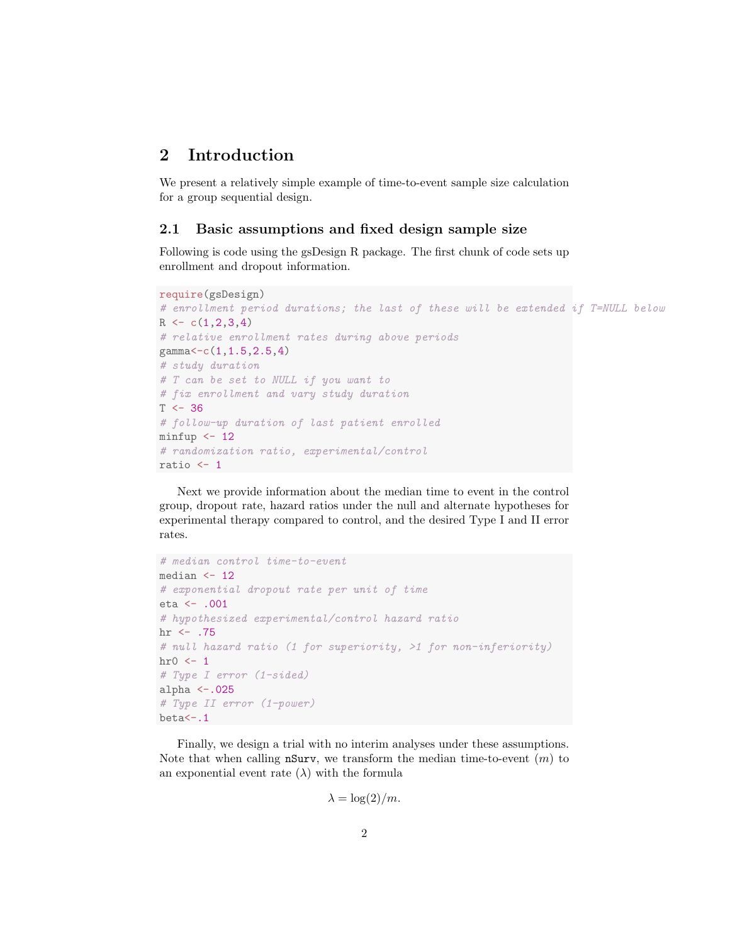## 2 Introduction

We present a relatively simple example of time-to-event sample size calculation for a group sequential design.

#### 2.1 Basic assumptions and fixed design sample size

Following is code using the gsDesign R package. The first chunk of code sets up enrollment and dropout information.

```
require(gsDesign)
# enrollment period durations; the last of these will be extended if T=NULL below
R \leftarrow c(1, 2, 3, 4)# relative enrollment rates during above periods
gamma<-c(1,1.5,2.5,4)
# study duration
# T can be set to NULL if you want to
# fix enrollment and vary study duration
T \leftarrow 36# follow-up duration of last patient enrolled
minfup \leftarrow 12# randomization ratio, experimental/control
ratio \leftarrow 1
```
Next we provide information about the median time to event in the control group, dropout rate, hazard ratios under the null and alternate hypotheses for experimental therapy compared to control, and the desired Type I and II error rates.

```
# median control time-to-event
median \leq 12
# exponential dropout rate per unit of time
eta <- .001
# hypothesized experimental/control hazard ratio
hr \leftarrow .75
# null hazard ratio (1 for superiority, >1 for non-inferiority)
\text{hr0} \leftarrow 1# Type I error (1-sided)
alpha \leftarrow.025
# Type II error (1-power)
beta<sup><-</sup>.1
```
Finally, we design a trial with no interim analyses under these assumptions. Note that when calling  $nSurv$ , we transform the median time-to-event  $(m)$  to an exponential event rate  $(\lambda)$  with the formula

$$
\lambda = \log(2)/m.
$$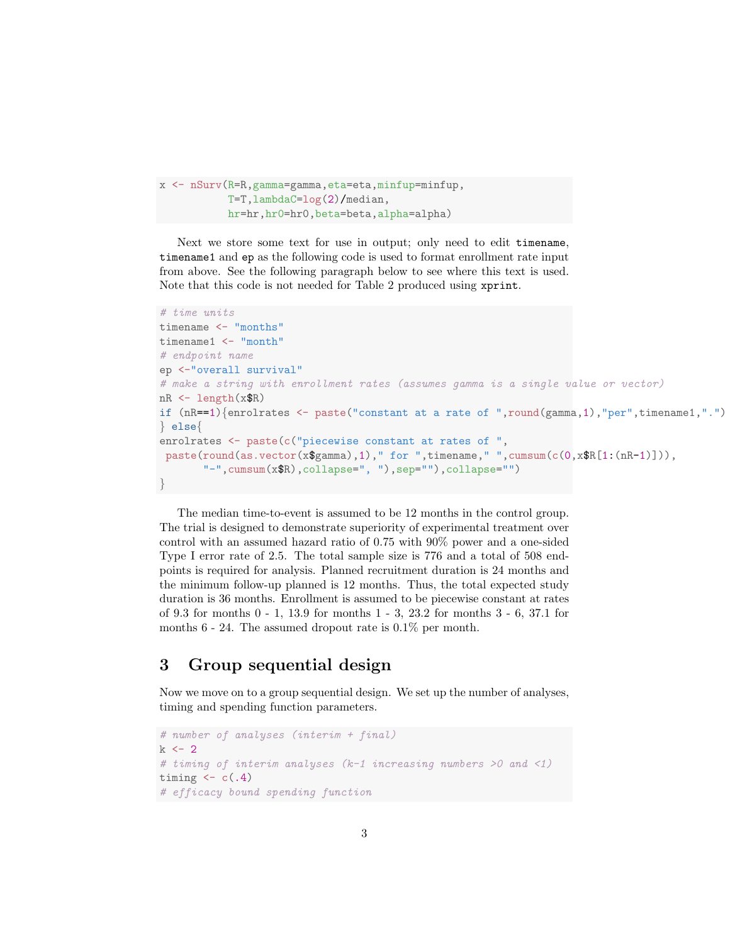```
x <- nSurv(R=R,gamma=gamma,eta=eta,minfup=minfup,
           T=T,lambdaC=log(2)/median,
           hr=hr,hr0=hr0,beta=beta,alpha=alpha)
```
Next we store some text for use in output; only need to edit timename, timename1 and ep as the following code is used to format enrollment rate input from above. See the following paragraph below to see where this text is used. Note that this code is not needed for Table 2 produced using xprint.

```
# time units
timename <- "months"
timename1 <- "month"
# endpoint name
ep <-"overall survival"
# make a string with enrollment rates (assumes gamma is a single value or vector)
nR <- length(x$R)
if (nR==1){ {enrolrates \leq paste("constant at a rate of ",round(gamma,1),"per",timename1,".")
} else{
enrolrates <- paste(c("piecewise constant at rates of ",
 paste(round(as.vector(x$gamma),1)," for ",timename," ",cumsum(c(0,x$R[1:(nR-1)])),
       "-",cumsum(x$R),collapse=", "),sep=""),collapse="")
}
```
The median time-to-event is assumed to be 12 months in the control group. The trial is designed to demonstrate superiority of experimental treatment over control with an assumed hazard ratio of 0.75 with 90% power and a one-sided Type I error rate of 2.5. The total sample size is 776 and a total of 508 endpoints is required for analysis. Planned recruitment duration is 24 months and the minimum follow-up planned is 12 months. Thus, the total expected study duration is 36 months. Enrollment is assumed to be piecewise constant at rates of 9.3 for months 0 - 1, 13.9 for months 1 - 3, 23.2 for months 3 - 6, 37.1 for months 6 - 24. The assumed dropout rate is 0.1% per month.

## 3 Group sequential design

Now we move on to a group sequential design. We set up the number of analyses, timing and spending function parameters.

```
# number of analyses (interim + final)
k \sim 2# timing of interim analyses (k-1 increasing numbers >0 and <1)
timing \leftarrow c(.4)# efficacy bound spending function
```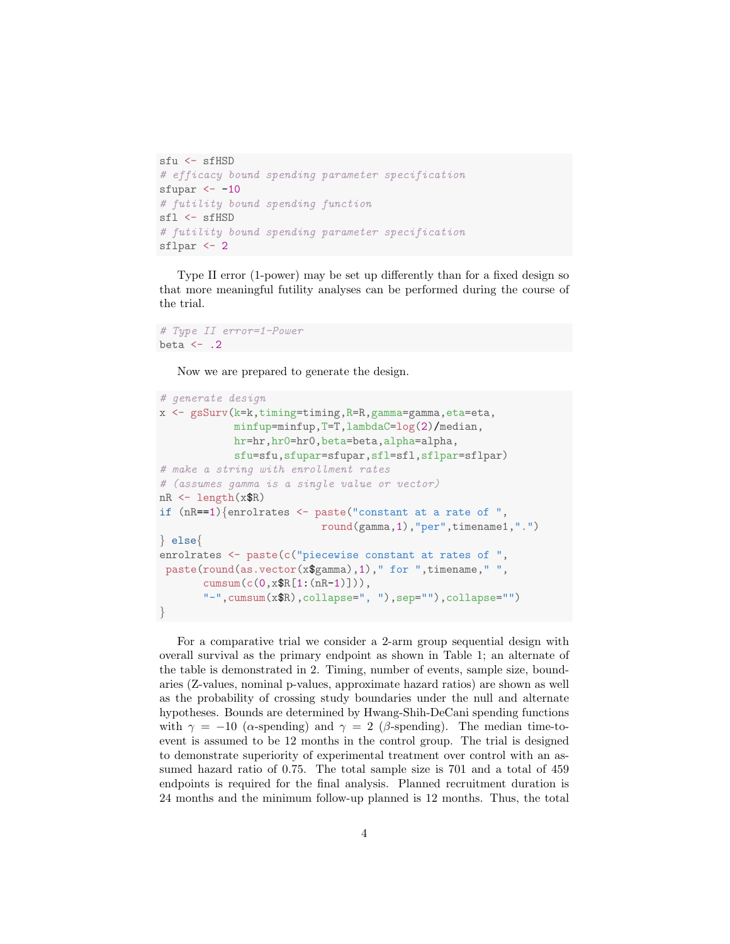```
sfu <- sfHSD
# efficacy bound spending parameter specification
sfupar <-10# futility bound spending function
sfl <- sfHSD
# futility bound spending parameter specification
sflpar <- 2
```
Type II error (1-power) may be set up differently than for a fixed design so that more meaningful futility analyses can be performed during the course of the trial.

```
# Type II error=1-Power
beta \leftarrow .2
```
Now we are prepared to generate the design.

```
# generate design
x <- gsSurv(k=k,timing=timing,R=R,gamma=gamma,eta=eta,
            minfup=minfup,T=T,lambdaC=log(2)/median,
            hr=hr,hr0=hr0,beta=beta,alpha=alpha,
            sfu=sfu,sfupar=sfupar,sfl=sfl,sflpar=sflpar)
# make a string with enrollment rates
# (assumes gamma is a single value or vector)
nR <- length(x$R)
if (nR==1) {enrolrates \leq paste ("constant at a rate of ",
                          round(gamma,1),"per",timename1,".")
} else{
enrolrates <- paste(c("piecewise constant at rates of ",
 paste(round(as.vector(x$gamma),1)," for ",timename,"",
       cumsum(c(0,x$R[1:(nR-1)])),
       "-",cumsum(x$R),collapse=", "),sep=""),collapse="")
}
```
For a comparative trial we consider a 2-arm group sequential design with overall survival as the primary endpoint as shown in Table 1; an alternate of the table is demonstrated in 2. Timing, number of events, sample size, boundaries (Z-values, nominal p-values, approximate hazard ratios) are shown as well as the probability of crossing study boundaries under the null and alternate hypotheses. Bounds are determined by Hwang-Shih-DeCani spending functions with  $\gamma = -10$  ( $\alpha$ -spending) and  $\gamma = 2$  ( $\beta$ -spending). The median time-toevent is assumed to be 12 months in the control group. The trial is designed to demonstrate superiority of experimental treatment over control with an assumed hazard ratio of 0.75. The total sample size is 701 and a total of 459 endpoints is required for the final analysis. Planned recruitment duration is 24 months and the minimum follow-up planned is 12 months. Thus, the total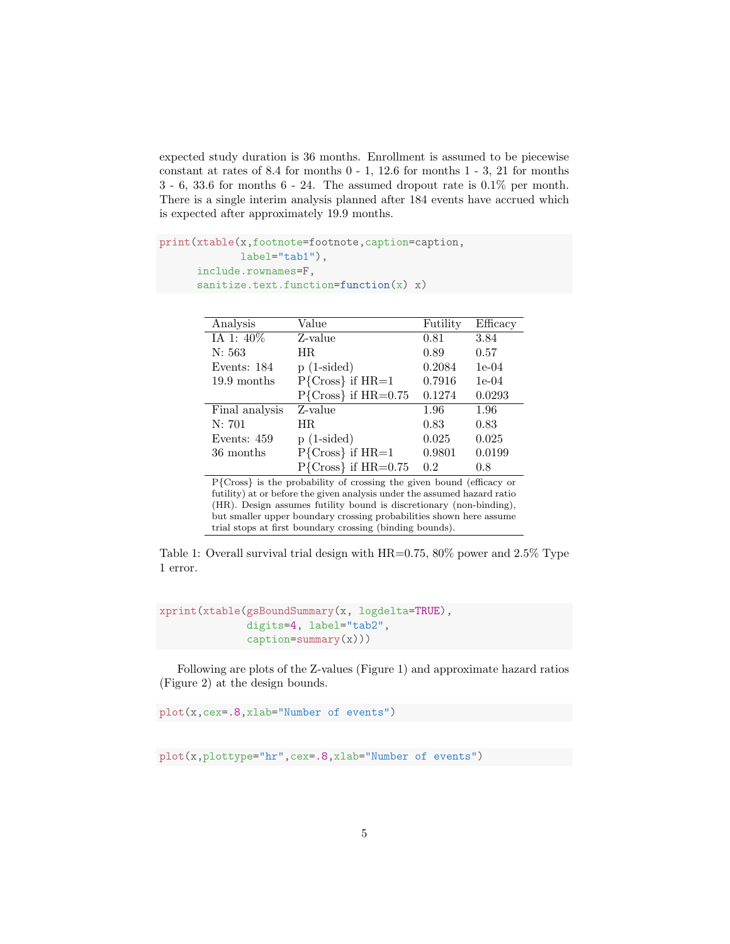expected study duration is 36 months. Enrollment is assumed to be piecewise constant at rates of 8.4 for months 0 - 1, 12.6 for months 1 - 3, 21 for months 3 - 6, 33.6 for months 6 - 24. The assumed dropout rate is 0.1% per month. There is a single interim analysis planned after 184 events have accrued which is expected after approximately 19.9 months.

```
print(xtable(x,footnote=footnote,caption=caption,
             label="tab1"),
      include.rownames=F,
      sanitize.text.function=function(x) x)
```
Í,

| Analysis       | Value                   | Futility | Efficacy |
|----------------|-------------------------|----------|----------|
| IA 1: 40%      | Z-value                 | 0.81     | 3.84     |
| N: 563         | HR.                     | 0.89     | 0.57     |
| Events: 184    | $p(1-sided)$            | 0.2084   | $1e-04$  |
| 19.9 months    | $P{Cross}$ if $HR=1$    | 0.7916   | $1e-04$  |
|                | $P{Cross}$ if $HR=0.75$ | 0.1274   | 0.0293   |
| Final analysis | Z-value                 | 1.96     | 1.96     |
| N: 701         | HR.                     | 0.83     | 0.83     |
| Events: 459    | $p(1-sided)$            | 0.025    | 0.025    |
| 36 months      | $P{Cross}$ if $HR=1$    | 0.9801   | 0.0199   |
|                | $P{Cross}$ if $HR=0.75$ | 0.2      | 0.8      |

P{Cross} is the probability of crossing the given bound (efficacy or futility) at or before the given analysis under the assumed hazard ratio (HR). Design assumes futility bound is discretionary (non-binding), but smaller upper boundary crossing probabilities shown here assume trial stops at first boundary crossing (binding bounds).

Table 1: Overall survival trial design with HR=0.75, 80% power and 2.5% Type 1 error.

```
xprint(xtable(gsBoundSummary(x, logdelta=TRUE),
               digits=4, label="tab2",
               caption=summ<sub>x</sub>(x))
```
Following are plots of the Z-values (Figure 1) and approximate hazard ratios (Figure 2) at the design bounds.

plot(x,cex=.8,xlab="Number of events")

plot(x,plottype="hr",cex=.8,xlab="Number of events")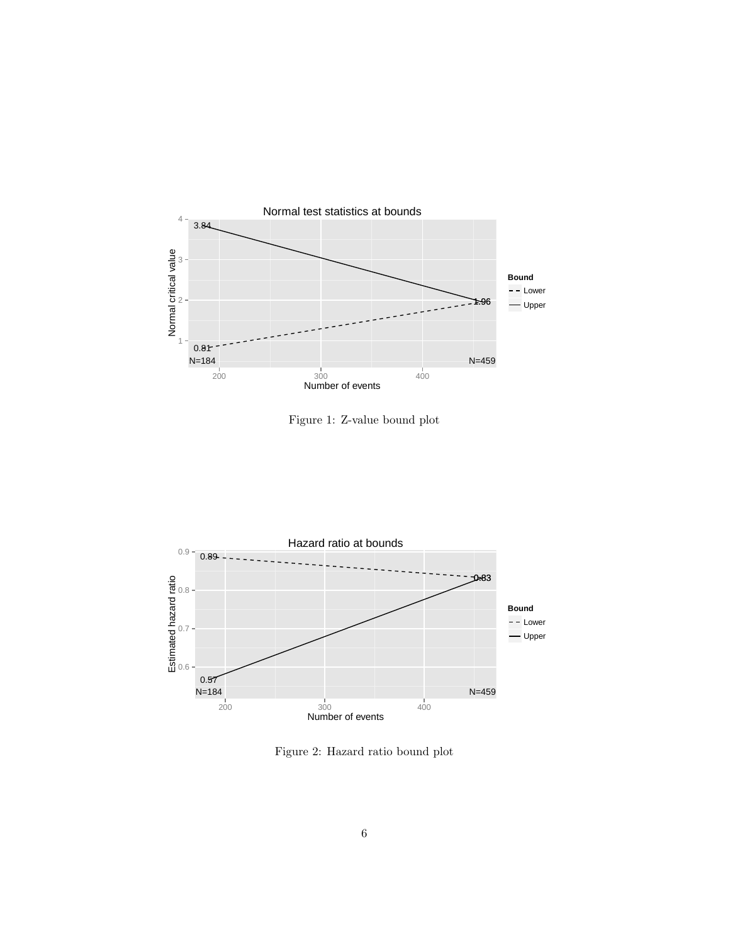

Figure 1: Z-value bound plot



Figure 2: Hazard ratio bound plot